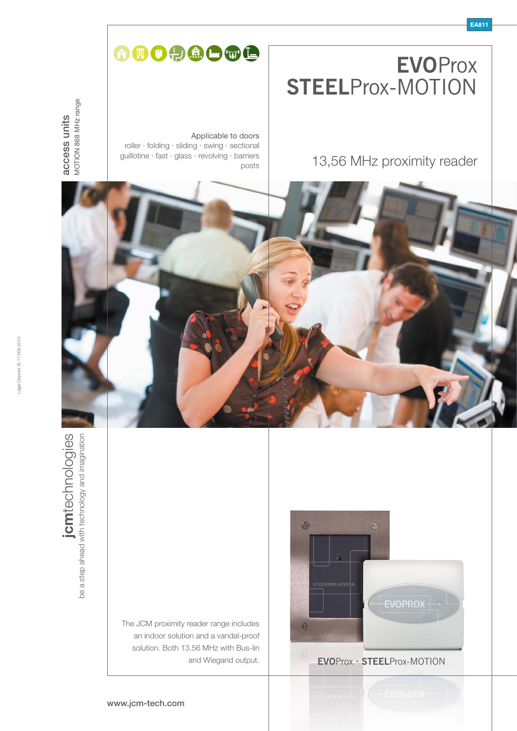# **EVO**Prox **STEEL**Prox-MOTION

# OOOOOOO

roller · folding · sliding · swing · sectional guillotine · fast · glass · revolving · barriers

Applicable to doors

posts

MOTION 868 MHz range MOTION 868 MHz range access units access units

13,56 MHz proximity reader



The JCM proximity reader range includes an indoor solution and a vandal-proof solution. Both 13.56 MHz with Bus-lin



and Wiegand output. **EVO**Prox **· STEEL**Prox-MOTION

#### www.jcm-tech.com